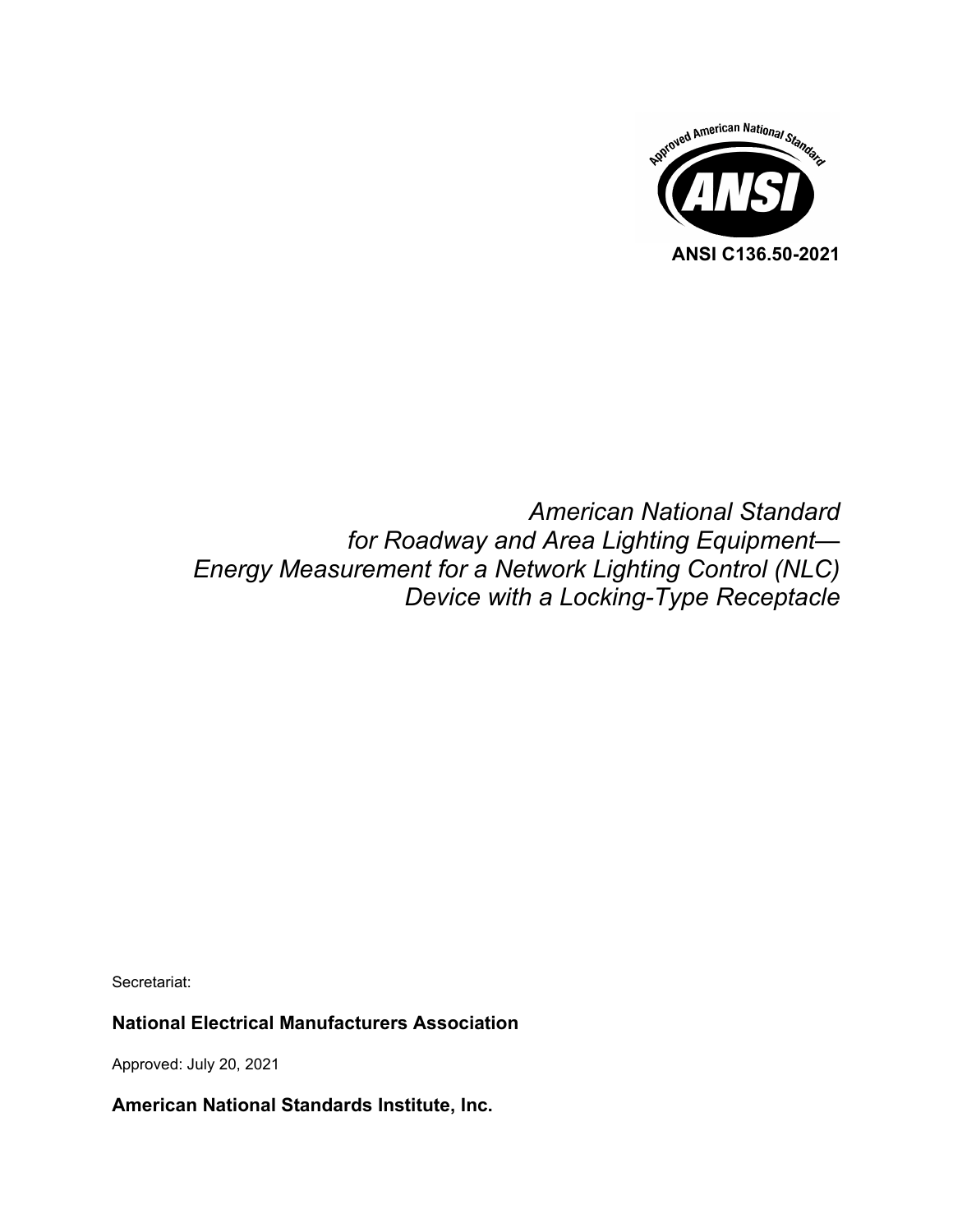

## *American National Standard for Roadway and Area Lighting Equipment— Energy Measurement for a Network Lighting Control (NLC) Device with a Locking-Type Receptacle*

Secretariat:

**National Electrical Manufacturers Association**

Approved: July 20, 2021

**American National Standards Institute, Inc.**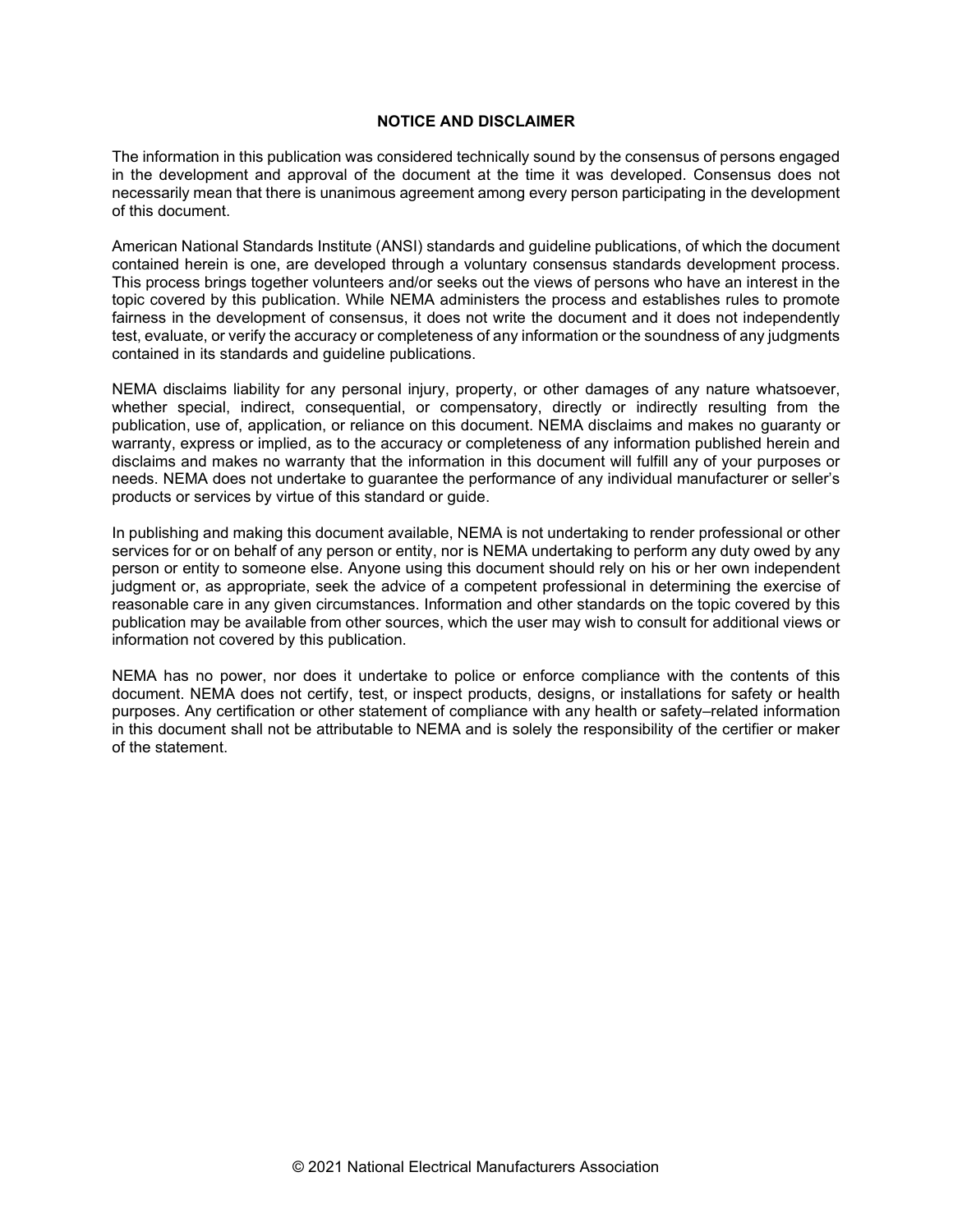#### **NOTICE AND DISCLAIMER**

The information in this publication was considered technically sound by the consensus of persons engaged in the development and approval of the document at the time it was developed. Consensus does not necessarily mean that there is unanimous agreement among every person participating in the development of this document.

American National Standards Institute (ANSI) standards and guideline publications, of which the document contained herein is one, are developed through a voluntary consensus standards development process. This process brings together volunteers and/or seeks out the views of persons who have an interest in the topic covered by this publication. While NEMA administers the process and establishes rules to promote fairness in the development of consensus, it does not write the document and it does not independently test, evaluate, or verify the accuracy or completeness of any information or the soundness of any judgments contained in its standards and guideline publications.

NEMA disclaims liability for any personal injury, property, or other damages of any nature whatsoever, whether special, indirect, consequential, or compensatory, directly or indirectly resulting from the publication, use of, application, or reliance on this document. NEMA disclaims and makes no guaranty or warranty, express or implied, as to the accuracy or completeness of any information published herein and disclaims and makes no warranty that the information in this document will fulfill any of your purposes or needs. NEMA does not undertake to guarantee the performance of any individual manufacturer or seller's products or services by virtue of this standard or guide.

In publishing and making this document available, NEMA is not undertaking to render professional or other services for or on behalf of any person or entity, nor is NEMA undertaking to perform any duty owed by any person or entity to someone else. Anyone using this document should rely on his or her own independent judgment or, as appropriate, seek the advice of a competent professional in determining the exercise of reasonable care in any given circumstances. Information and other standards on the topic covered by this publication may be available from other sources, which the user may wish to consult for additional views or information not covered by this publication.

NEMA has no power, nor does it undertake to police or enforce compliance with the contents of this document. NEMA does not certify, test, or inspect products, designs, or installations for safety or health purposes. Any certification or other statement of compliance with any health or safety–related information in this document shall not be attributable to NEMA and is solely the responsibility of the certifier or maker of the statement.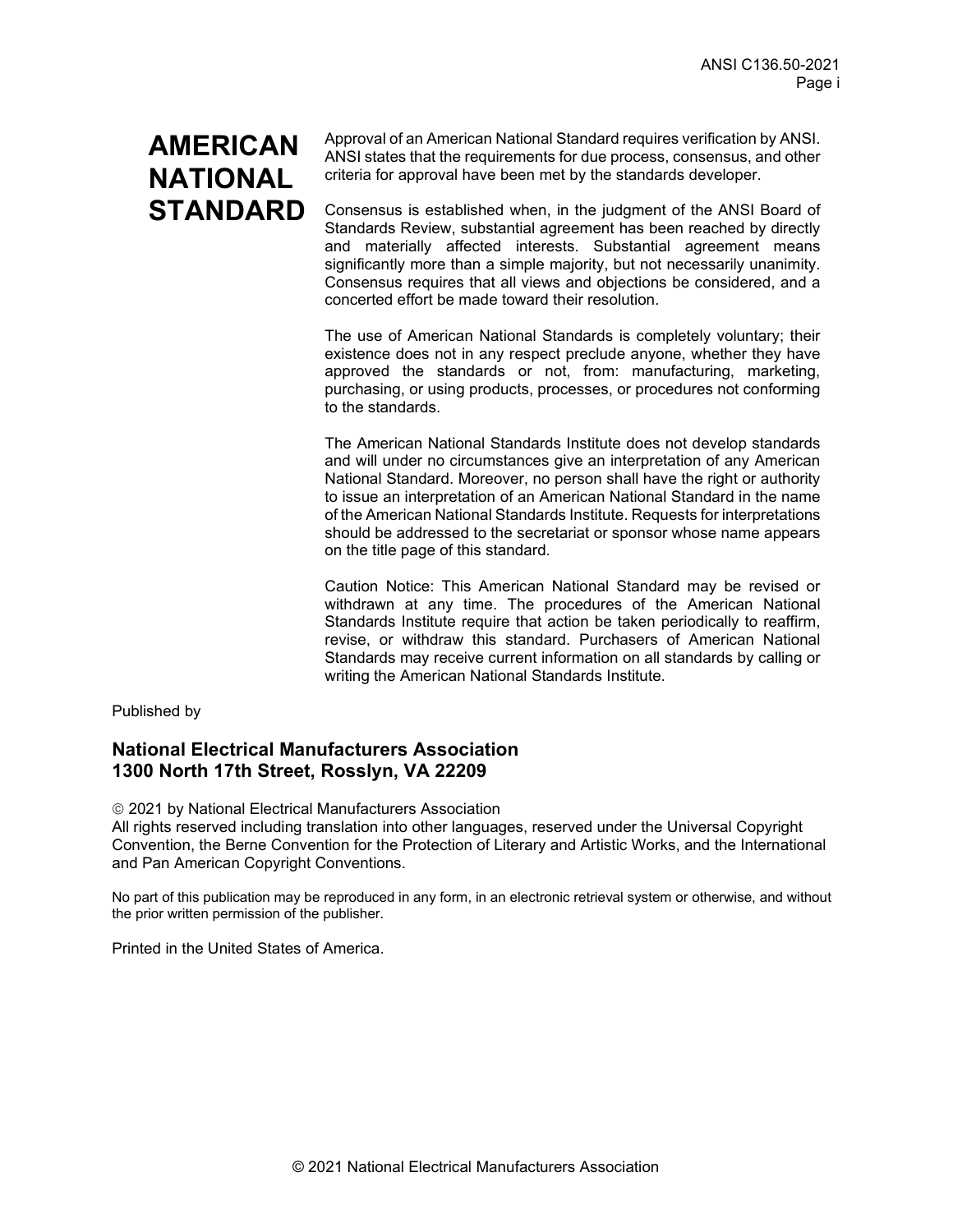# **AMERICAN NATIONAL STANDARD**

Approval of an American National Standard requires verification by ANSI. ANSI states that the requirements for due process, consensus, and other criteria for approval have been met by the standards developer.

Consensus is established when, in the judgment of the ANSI Board of Standards Review, substantial agreement has been reached by directly and materially affected interests. Substantial agreement means significantly more than a simple majority, but not necessarily unanimity. Consensus requires that all views and objections be considered, and a concerted effort be made toward their resolution.

The use of American National Standards is completely voluntary; their existence does not in any respect preclude anyone, whether they have approved the standards or not, from: manufacturing, marketing, purchasing, or using products, processes, or procedures not conforming to the standards.

The American National Standards Institute does not develop standards and will under no circumstances give an interpretation of any American National Standard. Moreover, no person shall have the right or authority to issue an interpretation of an American National Standard in the name of the American National Standards Institute. Requests for interpretations should be addressed to the secretariat or sponsor whose name appears on the title page of this standard.

Caution Notice: This American National Standard may be revised or withdrawn at any time. The procedures of the American National Standards Institute require that action be taken periodically to reaffirm, revise, or withdraw this standard. Purchasers of American National Standards may receive current information on all standards by calling or writing the American National Standards Institute.

Published by

## **National Electrical Manufacturers Association 1300 North 17th Street, Rosslyn, VA 22209**

2021 by National Electrical Manufacturers Association

All rights reserved including translation into other languages, reserved under the Universal Copyright Convention, the Berne Convention for the Protection of Literary and Artistic Works, and the International and Pan American Copyright Conventions.

No part of this publication may be reproduced in any form, in an electronic retrieval system or otherwise, and without the prior written permission of the publisher.

Printed in the United States of America.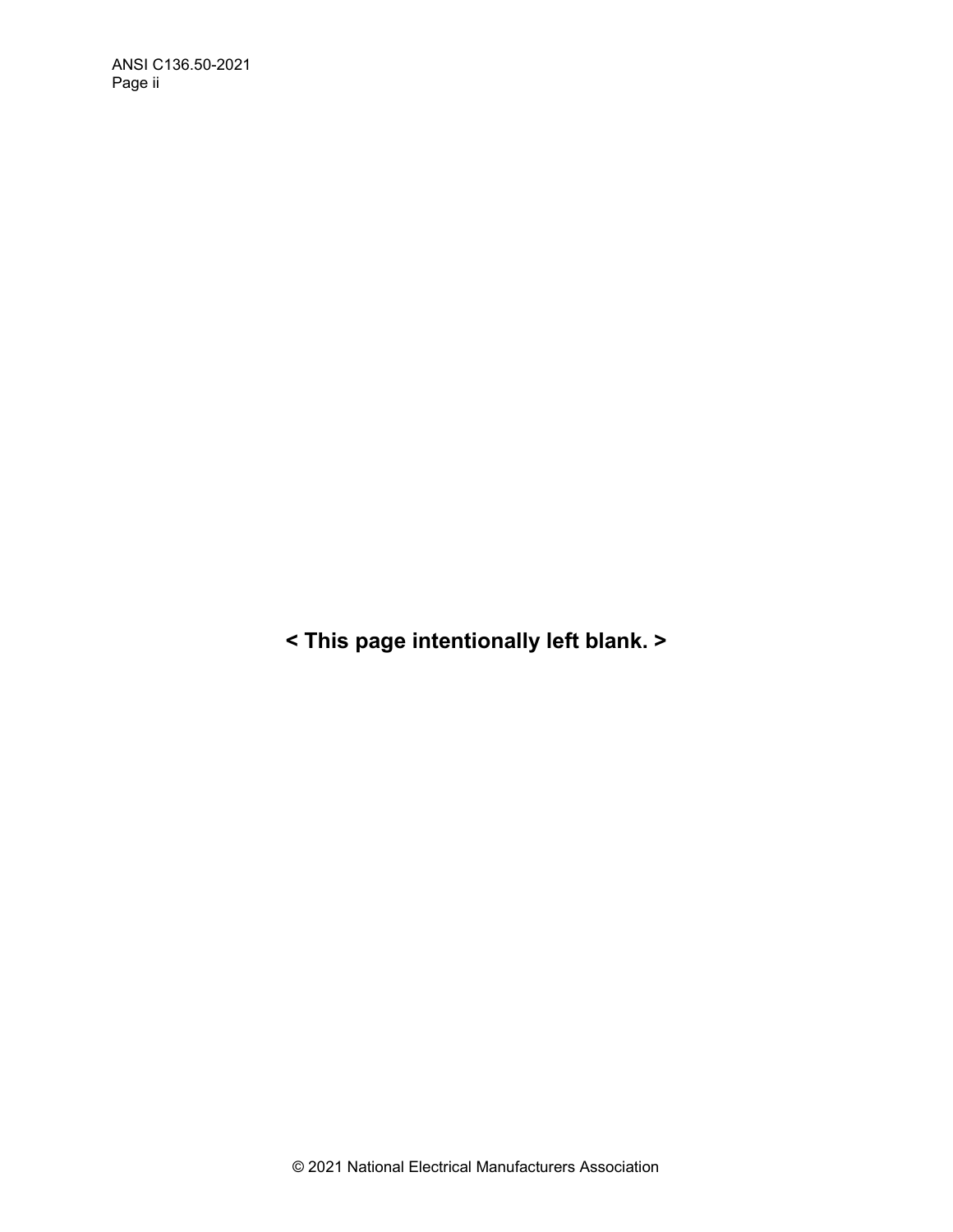ANSI C136.50-2021 Page ii

**< This page intentionally left blank. >**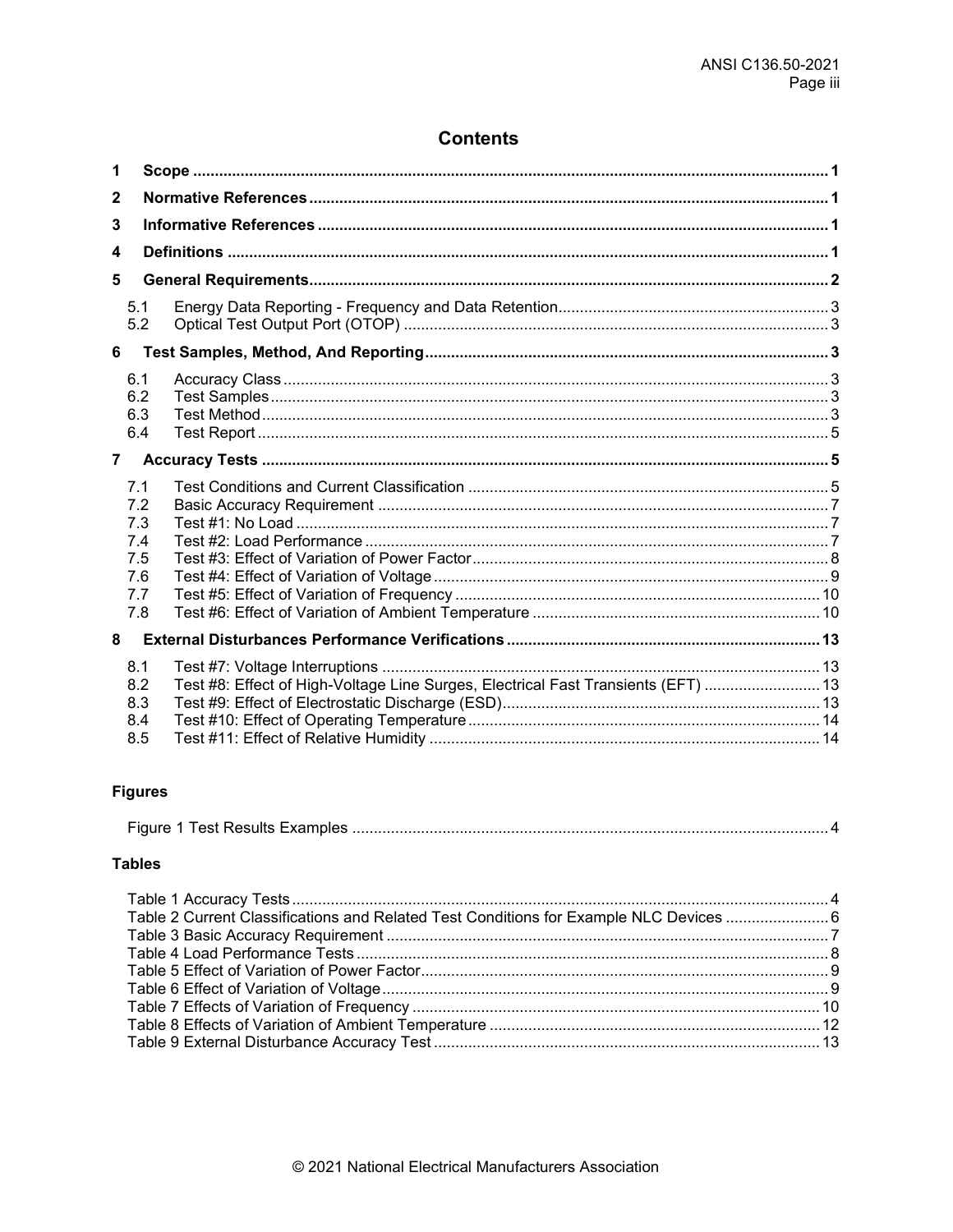## **Contents**

| 1            |                                                      |                                                                                   |  |  |  |
|--------------|------------------------------------------------------|-----------------------------------------------------------------------------------|--|--|--|
| $\mathbf{2}$ |                                                      |                                                                                   |  |  |  |
| 3            |                                                      |                                                                                   |  |  |  |
| 4            |                                                      |                                                                                   |  |  |  |
| 5            |                                                      |                                                                                   |  |  |  |
|              | 5.1<br>5.2                                           |                                                                                   |  |  |  |
| 6            |                                                      |                                                                                   |  |  |  |
|              | 6.1<br>6.2<br>6.3<br>6.4                             |                                                                                   |  |  |  |
| $7^{\circ}$  |                                                      |                                                                                   |  |  |  |
|              | 7.1<br>7.2<br>7.3<br>7.4<br>7.5<br>7.6<br>7.7<br>7.8 |                                                                                   |  |  |  |
| 8            |                                                      |                                                                                   |  |  |  |
|              | 8.1<br>8.2<br>8.3<br>8.4<br>8.5                      | Test #8: Effect of High-Voltage Line Surges, Electrical Fast Transients (EFT)  13 |  |  |  |

## **Figures**

### **Tables**

| Table 2 Current Classifications and Related Test Conditions for Example NLC Devices  6 |  |
|----------------------------------------------------------------------------------------|--|
|                                                                                        |  |
|                                                                                        |  |
|                                                                                        |  |
|                                                                                        |  |
|                                                                                        |  |
|                                                                                        |  |
|                                                                                        |  |
|                                                                                        |  |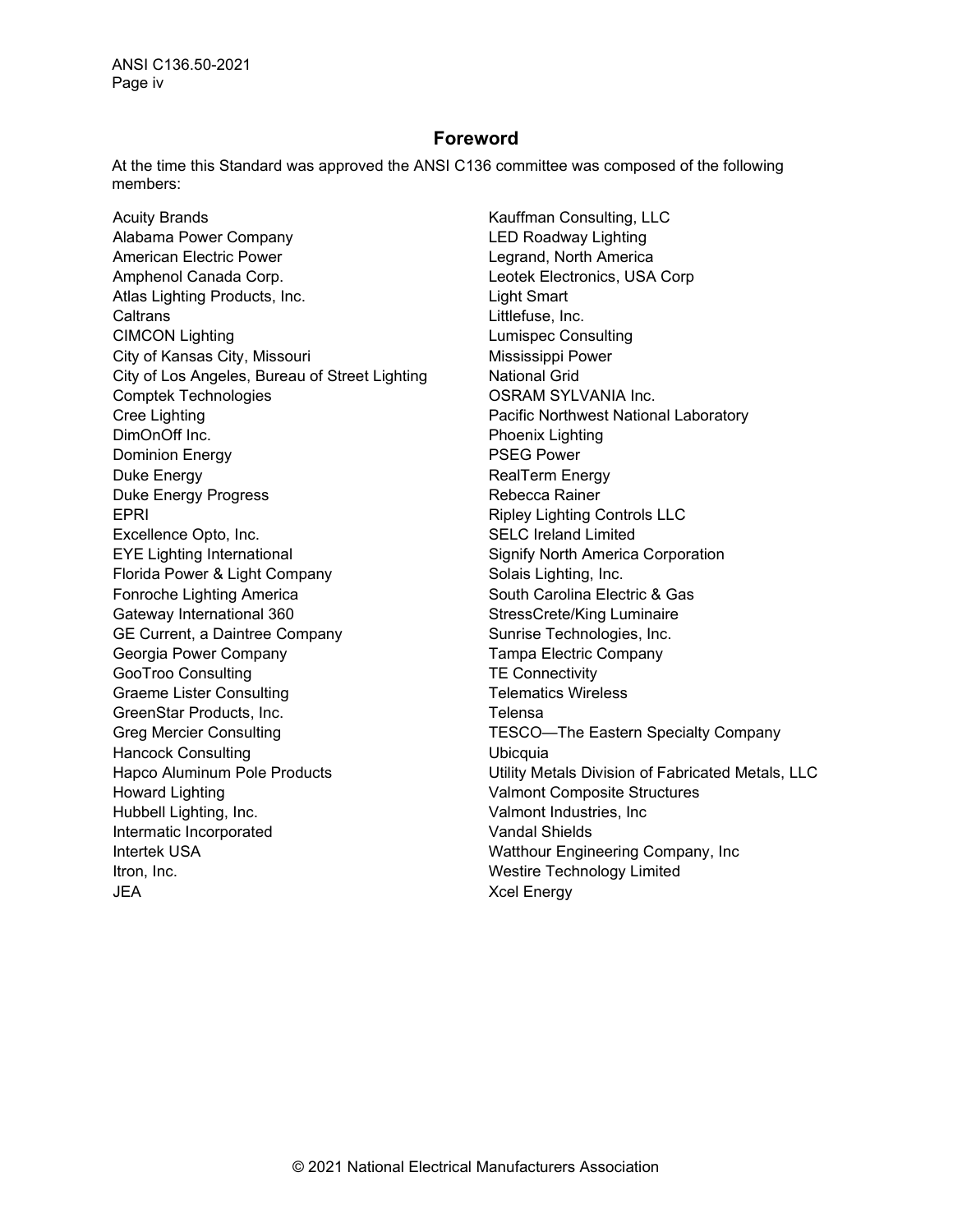ANSI C136.50-2021 Page iv

### **Foreword**

At the time this Standard was approved the ANSI C136 committee was composed of the following members:

Acuity Brands **Kauffman Consulting, LLC** Alabama Power Company **LED Roadway Lighting** American Electric Power **Legrand, North America** Amphenol Canada Corp. Leotek Electronics, USA Corp Atlas Lighting Products, Inc. **Example 20 and Smart** Light Smart Caltrans **Caltrans** Littlefuse, Inc. CIMCON Lighting **Lumispec Consulting** City of Kansas City, Missouri **Mississippi Power** City of Los Angeles, Bureau of Street Lighting National Grid Comptek Technologies **Comptek Technologies COSRAM SYLVANIA Inc.** Cree Lighting **Pacific Northwest National Laboratory** Pacific Northwest National Laboratory DimOnOff Inc. **Phoenix Lighting** Dominion Energy **PSEG Power** Duke Energy **RealTerm Energy** RealTerm Energy Duke Energy Progress **Rebecca Rainer** Rebecca Rainer EPRI **EPRI Ripley Lighting Controls LLC** Excellence Opto, Inc. **SELC Ireland Limited** EYE Lighting International Signify North America Corporation Florida Power & Light Company Solais Lighting, Inc. Fonroche Lighting America South Carolina Electric & Gas Gateway International 360 StressCrete/King Luminaire GE Current, a Daintree Company Sunrise Technologies, Inc. Georgia Power Company Tampa Electric Company GooTroo Consulting TE Connectivity Graeme Lister Consulting Telematics Wireless GreenStar Products, Inc. Telensa Greg Mercier Consulting TESCO—The Eastern Specialty Company Hancock Consulting **Example 20** Notice Ubicquia Howard Lighting Valmont Composite Structures Hubbell Lighting, Inc. The Contract of the Valmont Industries, Inc. Intermatic Incorporated Vandal Shields Intertek USA Watthour Engineering Company, Inc Itron, Inc. Westire Technology Limited JEA Xcel Energy

Hapco Aluminum Pole Products Utility Metals Division of Fabricated Metals, LLC